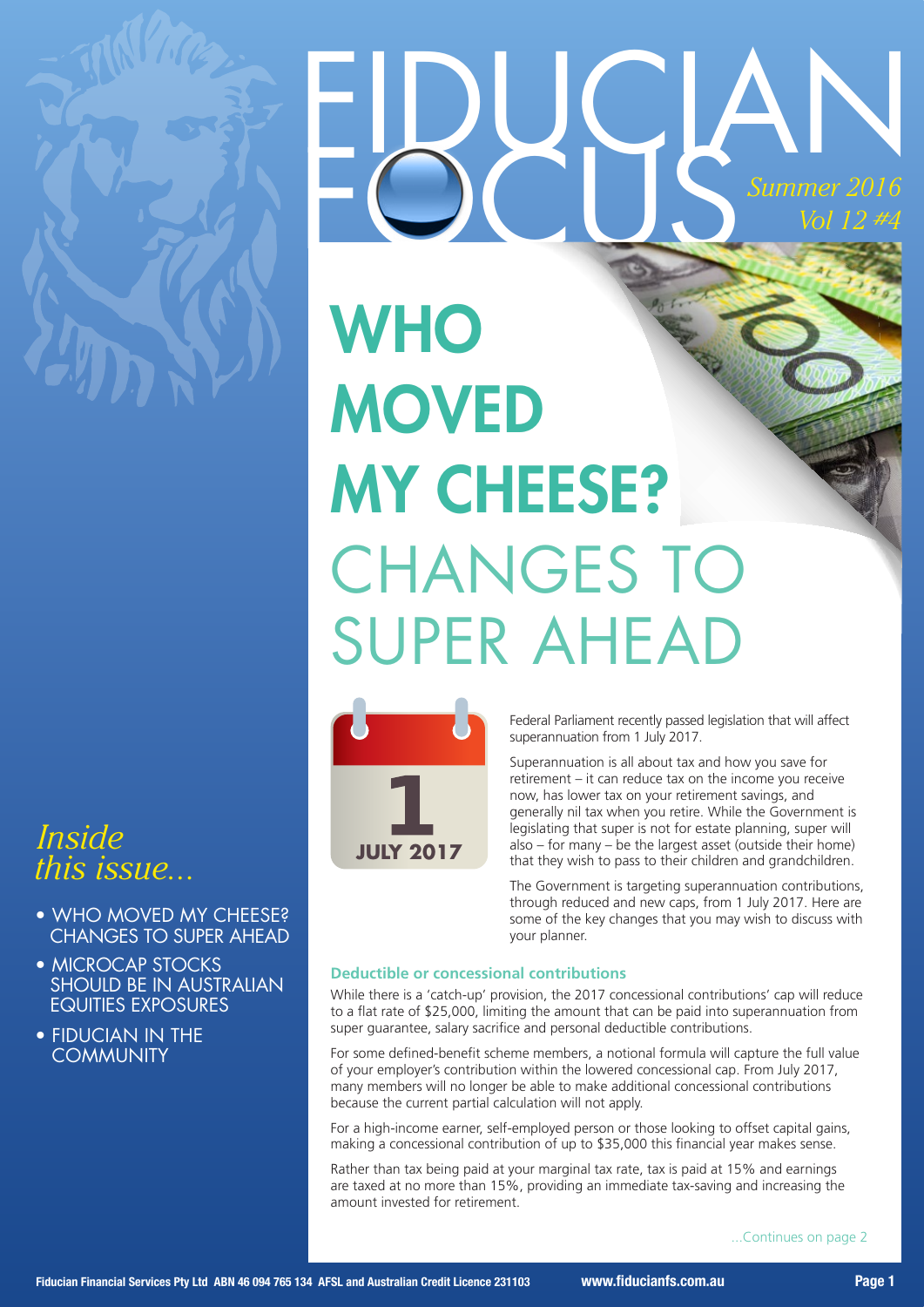

### *Inside this issue...*

- WHO MOVED MY CHEESE? CHANGES TO SUPER AHEAD
- MICROCAP STOCKS SHOULD BE IN AUSTRALIAN EQUITIES EXPOSURES
- FIDUCIAN IN THE **COMMUNITY**

# EDUGAN **WHO MOVED** MY CHEESE? CHANGES TO SUPER AHEAD



Federal Parliament recently passed legislation that will affect superannuation from 1 July 2017.

Superannuation is all about tax and how you save for retirement – it can reduce tax on the income you receive now, has lower tax on your retirement savings, and generally nil tax when you retire. While the Government is legislating that super is not for estate planning, super will also – for many – be the largest asset (outside their home) that they wish to pass to their children and grandchildren.

The Government is targeting superannuation contributions, through reduced and new caps, from 1 July 2017. Here are some of the key changes that you may wish to discuss with your planner.

#### **Deductible or concessional contributions**

While there is a 'catch-up' provision, the 2017 concessional contributions' cap will reduce to a flat rate of \$25,000, limiting the amount that can be paid into superannuation from super guarantee, salary sacrifice and personal deductible contributions.

For some defined-benefit scheme members, a notional formula will capture the full value of your employer's contribution within the lowered concessional cap. From July 2017, many members will no longer be able to make additional concessional contributions because the current partial calculation will not apply.

For a high-income earner, self-employed person or those looking to offset capital gains, making a concessional contribution of up to \$35,000 this financial year makes sense.

Rather than tax being paid at your marginal tax rate, tax is paid at 15% and earnings are taxed at no more than 15%, providing an immediate tax-saving and increasing the amount invested for retirement.

...Continues on page 2

*Summer 2016*

*Vol 12 #4*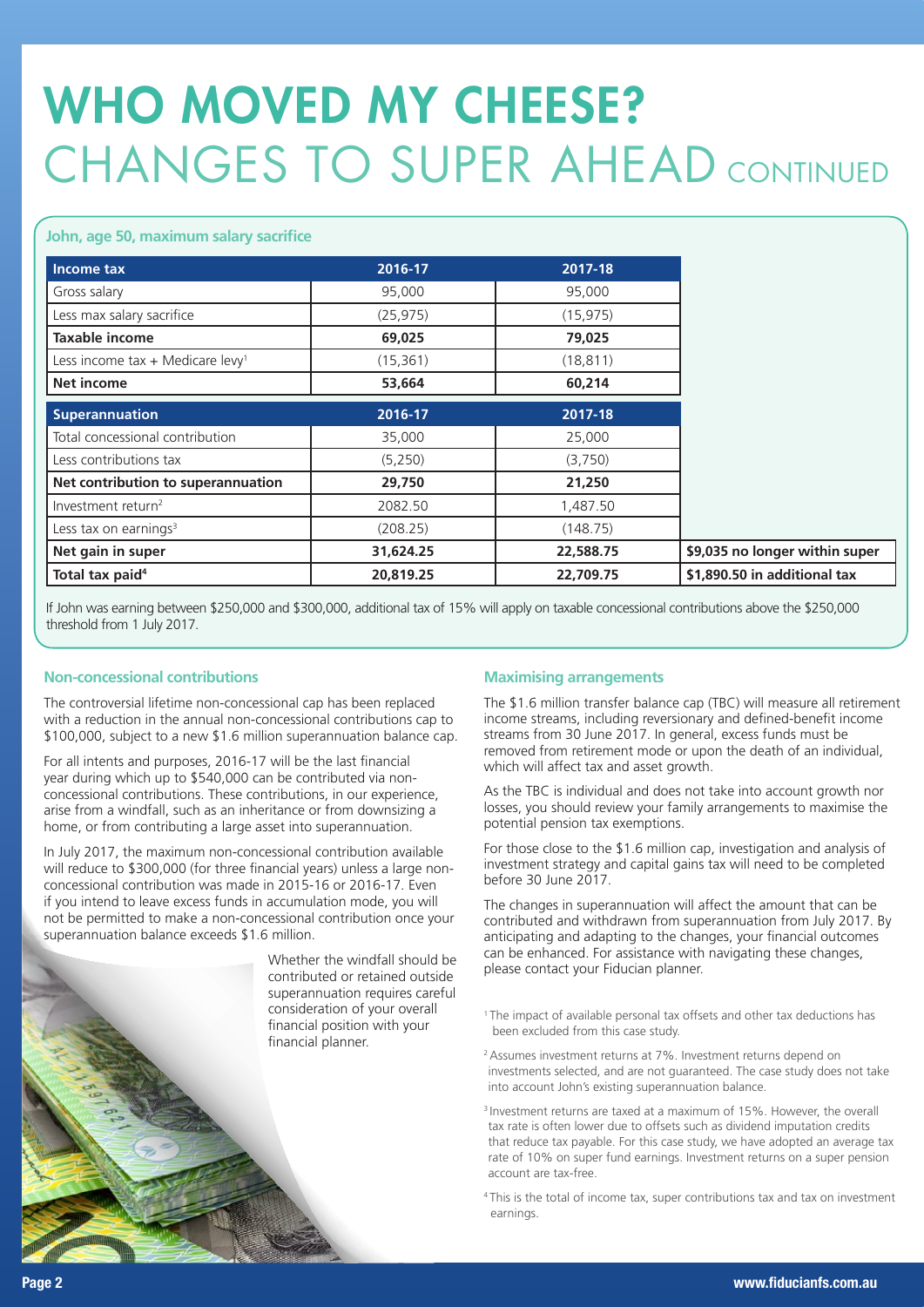## WHO MOVED MY CHEESE? CHANGES TO SUPER AHEAD CONTINUED

#### **John, age 50, maximum salary sacrifice**

| Income tax                                   | 2016-17   | 2017-18   |                                |
|----------------------------------------------|-----------|-----------|--------------------------------|
| Gross salary                                 | 95,000    | 95,000    |                                |
| Less max salary sacrifice                    | (25, 975) | (15, 975) |                                |
| Taxable income                               | 69,025    | 79,025    |                                |
| Less income tax + Medicare levy <sup>1</sup> | (15, 361) | (18, 811) |                                |
| <b>Net income</b>                            | 53,664    | 60,214    |                                |
| <b>Superannuation</b>                        | 2016-17   | 2017-18   |                                |
| Total concessional contribution              | 35,000    | 25,000    |                                |
| Less contributions tax                       | (5,250)   | (3,750)   |                                |
| Net contribution to superannuation           | 29,750    | 21,250    |                                |
| Investment return <sup>2</sup>               | 2082.50   | 1,487.50  |                                |
| Less tax on earnings <sup>3</sup>            | (208.25)  | (148.75)  |                                |
| Net gain in super                            | 31,624.25 | 22,588.75 | \$9,035 no longer within super |
| Total tax paid <sup>4</sup>                  | 20,819.25 | 22,709.75 | \$1,890.50 in additional tax   |

If John was earning between \$250,000 and \$300,000, additional tax of 15% will apply on taxable concessional contributions above the \$250,000 threshold from 1 July 2017.

#### **Non-concessional contributions**

The controversial lifetime non-concessional cap has been replaced with a reduction in the annual non-concessional contributions cap to \$100,000, subject to a new \$1.6 million superannuation balance cap.

For all intents and purposes, 2016-17 will be the last financial year during which up to \$540,000 can be contributed via nonconcessional contributions. These contributions, in our experience, arise from a windfall, such as an inheritance or from downsizing a home, or from contributing a large asset into superannuation.

In July 2017, the maximum non-concessional contribution available will reduce to \$300,000 (for three financial years) unless a large nonconcessional contribution was made in 2015-16 or 2016-17. Even if you intend to leave excess funds in accumulation mode, you will not be permitted to make a non-concessional contribution once your superannuation balance exceeds \$1.6 million.

> Whether the windfall should be contributed or retained outside superannuation requires careful consideration of your overall financial position with your financial planner.

#### **Maximising arrangements**

The \$1.6 million transfer balance cap (TBC) will measure all retirement income streams, including reversionary and defined-benefit income streams from 30 June 2017. In general, excess funds must be removed from retirement mode or upon the death of an individual, which will affect tax and asset growth.

As the TBC is individual and does not take into account growth nor losses, you should review your family arrangements to maximise the potential pension tax exemptions.

For those close to the \$1.6 million cap, investigation and analysis of investment strategy and capital gains tax will need to be completed before 30 June 2017.

The changes in superannuation will affect the amount that can be contributed and withdrawn from superannuation from July 2017. By anticipating and adapting to the changes, your financial outcomes can be enhanced. For assistance with navigating these changes, please contact your Fiducian planner.

- <sup>1</sup> The impact of available personal tax offsets and other tax deductions has been excluded from this case study.
- 2 Assumes investment returns at 7%. Investment returns depend on investments selected, and are not guaranteed. The case study does not take into account John's existing superannuation balance.
- 3 Investment returns are taxed at a maximum of 15%. However, the overall tax rate is often lower due to offsets such as dividend imputation credits that reduce tax payable. For this case study, we have adopted an average tax rate of 10% on super fund earnings. Investment returns on a super pension account are tax-free.
- 4 This is the total of income tax, super contributions tax and tax on investment earnings.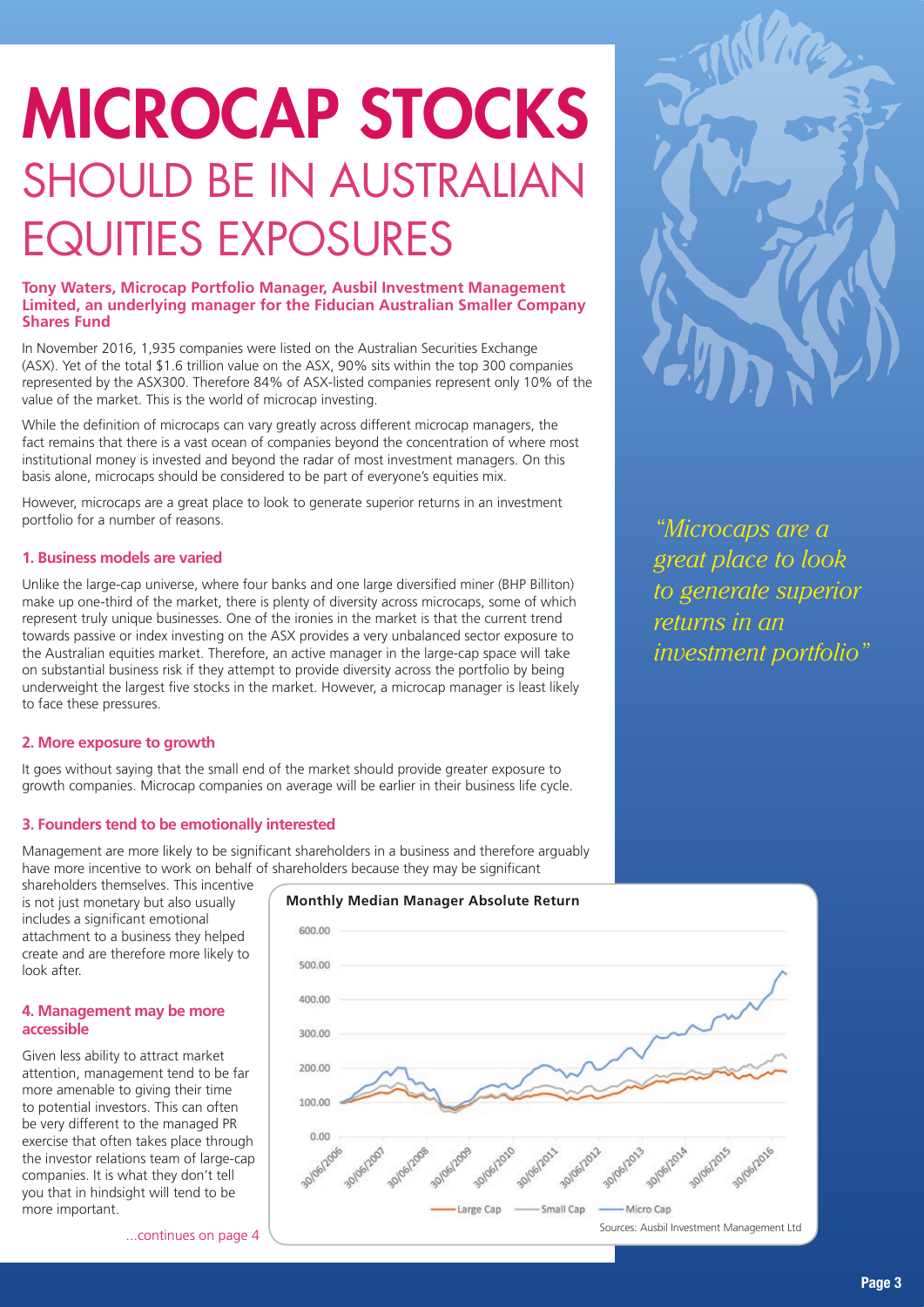# MICROCAP STOCKS SHOULD BE IN AUSTRALIAN EQUITIES EXPOSURES

#### **Tony Waters, Microcap Portfolio Manager, Ausbil Investment Management Limited, an underlying manager for the Fiducian Australian Smaller Company Shares Fund**

In November 2016, 1,935 companies were listed on the Australian Securities Exchange (ASX). Yet of the total \$1.6 trillion value on the ASX, 90% sits within the top 300 companies represented by the ASX300. Therefore 84% of ASX-listed companies represent only 10% of the value of the market. This is the world of microcap investing.

While the definition of microcaps can vary greatly across different microcap managers, the fact remains that there is a vast ocean of companies beyond the concentration of where most institutional money is invested and beyond the radar of most investment managers. On this basis alone, microcaps should be considered to be part of everyone's equities mix.

However, microcaps are a great place to look to generate superior returns in an investment portfolio for a number of reasons.

#### **1. Business models are varied**

Unlike the large-cap universe, where four banks and one large diversified miner (BHP Billiton) make up one-third of the market, there is plenty of diversity across microcaps, some of which represent truly unique businesses. One of the ironies in the market is that the current trend towards passive or index investing on the ASX provides a very unbalanced sector exposure to the Australian equities market. Therefore, an active manager in the large-cap space will take on substantial business risk if they attempt to provide diversity across the portfolio by being underweight the largest five stocks in the market. However, a microcap manager is least likely to face these pressures.

#### **2. More exposure to growth**

It goes without saying that the small end of the market should provide greater exposure to growth companies. Microcap companies on average will be earlier in their business life cycle.

#### **3. Founders tend to be emotionally interested**

Management are more likely to be significant shareholders in a business and therefore arguably have more incentive to work on behalf of shareholders because they may be significant

shareholders themselves. This incentive is not just monetary but also usually includes a significant emotional attachment to a business they helped create and are therefore more likely to look after.

#### **4. Management may be more accessible**

Given less ability to attract market attention, management tend to be far more amenable to giving their time to potential investors. This can often be very different to the managed PR exercise that often takes place through the investor relations team of large-cap companies. It is what they don't tell you that in hindsight will tend to be more important.





*"Microcaps are a great place to look to generate superior returns in an investment portfolio"*